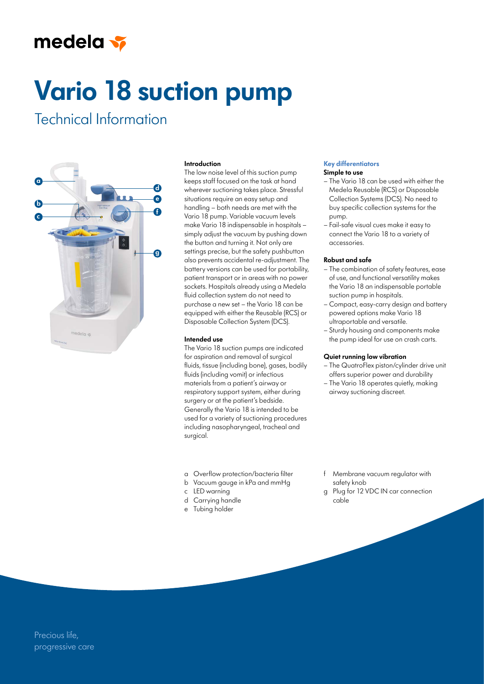## medela v

# **Vario 18 suction pump**

### Technical Information



#### **Introduction**

The low noise level of this suction pump keeps staff focused on the task at hand wherever suctioning takes place. Stressful situations require an easy setup and handling – both needs are met with the Vario 18 pump. Variable vacuum levels make Vario 18 indispensable in hospitals – simply adjust the vacuum by pushing down the button and turning it. Not only are settings precise, but the safety pushbutton also prevents accidental re-adjustment. The battery versions can be used for portability, patient transport or in areas with no power sockets. Hospitals already using a Medela fluid collection system do not need to purchase a new set – the Vario 18 can be equipped with either the Reusable (RCS) or Disposable Collection System (DCS).

#### **Intended use**

The Vario 18 suction pumps are indicated for aspiration and removal of surgical fluids, tissue (including bone), gases, bodily fluids (including vomit) or infectious materials from a patient's airway or respiratory support system, either during surgery or at the patient's bedside. Generally the Vario 18 is intended to be used for a variety of suctioning procedures including nasopharyngeal, tracheal and surgical.

- a Overflow protection/bacteria filter
- b Vacuum gauge in kPa and mmHg
- c LED warning
- d Carrying handle
- e Tubing holder

#### **Key differentiators Simple to use**

- The Vario 18 can be used with either the Medela Reusable (RCS) or Disposable Collection Systems (DCS). No need to buy specific collection systems for the pump.
- Fail-safe visual cues make it easy to connect the Vario 18 to a variety of accessories.

#### **Robust and safe**

- The combination of safety features, ease of use, and functional versatility makes the Vario 18 an indispensable portable suction pump in hospitals.
- Compact, easy-carry design and battery powered options make Vario 18 ultraportable and versatile.
- Sturdy housing and components make the pump ideal for use on crash carts.

#### **Quiet running low vibration**

- The QuatroFlex piston/cylinder drive unit offers superior power and durability
- The Vario 18 operates quietly, making airway suctioning discreet.

- Membrane vacuum regulator with safety knob
- g Plug for 12 VDC IN car connection cable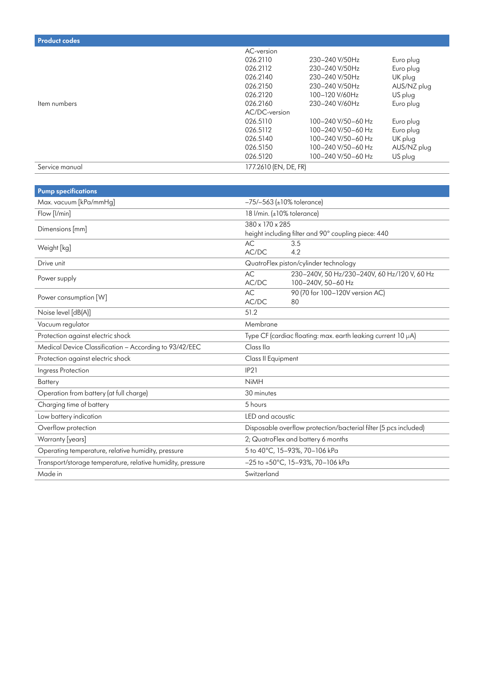| <b>Product codes</b> |                       |                    |             |
|----------------------|-----------------------|--------------------|-------------|
|                      | AC-version            |                    |             |
|                      | 026.2110              | 230-240 V/50Hz     | Euro plug   |
|                      | 026.2112              | 230-240 V/50Hz     | Euro plug   |
|                      | 026.2140              | 230-240 V/50Hz     | UK plug     |
|                      | 026.2150              | 230-240 V/50Hz     | AUS/NZ plug |
|                      | 026.2120              | 100-120 V/60Hz     | US plug     |
| Item numbers         | 026.2160              | 230-240 V/60Hz     | Euro plug   |
|                      | AC/DC-version         |                    |             |
|                      | 026.5110              | 100-240 V/50-60 Hz | Euro plug   |
|                      | 026.5112              | 100-240 V/50-60 Hz | Euro plug   |
|                      | 026.5140              | 100-240 V/50-60 Hz | UK plug     |
|                      | 026.5150              | 100-240 V/50-60 Hz | AUS/NZ plug |
|                      | 026.5120              | 100-240 V/50-60 Hz | US plug     |
| Service manual       | 177.2610 (EN, DE, FR) |                    |             |

| <b>Pump specifications</b>                                 |                                                                                   |  |
|------------------------------------------------------------|-----------------------------------------------------------------------------------|--|
| Max. vacuum [kPa/mmHg]                                     | $-75/-563$ (±10% tolerance)                                                       |  |
| Flow [I/min]                                               | 18 I/min. (±10% tolerance)                                                        |  |
| Dimensions [mm]                                            | 380 x 170 x 285<br>height including filter and 90° coupling piece: 440            |  |
| Weight [kg]                                                | AC<br>3.5<br>4.2<br>AC/DC                                                         |  |
| Drive unit                                                 | QuatroFlex piston/cylinder technology                                             |  |
| Power supply                                               | 230-240V, 50 Hz/230-240V, 60 Hz/120 V, 60 Hz<br>AC<br>AC/DC<br>100-240V, 50-60 Hz |  |
| Power consumption [W]                                      | 90 (70 for 100-120V version AC)<br>AC<br>AC/DC<br>80                              |  |
| Noise level [dB(A)]                                        | 51.2                                                                              |  |
| Vacuum regulator                                           | Membrane                                                                          |  |
| Protection against electric shock                          | Type CF (cardiac floating: max. earth leaking current 10 µA)                      |  |
| Medical Device Classification - According to 93/42/EEC     | Class IIa                                                                         |  |
| Protection against electric shock                          | Class II Equipment                                                                |  |
| Ingress Protection                                         | IP21                                                                              |  |
| <b>Battery</b>                                             | <b>NiMH</b>                                                                       |  |
| Operation from battery (at full charge)                    | 30 minutes                                                                        |  |
| Charging time of battery                                   | 5 hours                                                                           |  |
| Low battery indication                                     | LED and acoustic                                                                  |  |
| Overflow protection                                        | Disposable overflow protection/bacterial filter (5 pcs included)                  |  |
| Warranty [years]                                           | 2; QuatroFlex and battery 6 months                                                |  |
| Operating temperature, relative humidity, pressure         | 5 to 40°C, 15-93%, 70-106 kPa                                                     |  |
| Transport/storage temperature, relative humidity, pressure | $-25$ to $+50^{\circ}$ C, 15-93%, 70-106 kPa                                      |  |
| Made in                                                    | Switzerland                                                                       |  |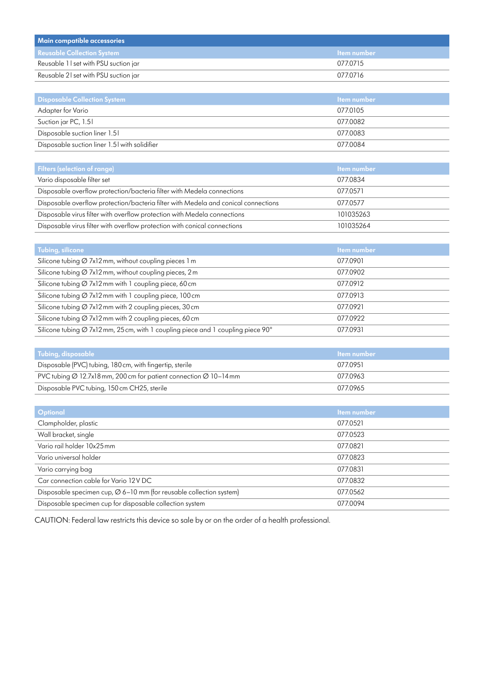| Main compatible accessories          |                    |
|--------------------------------------|--------------------|
| <b>Reusable Collection System</b>    | <b>Item number</b> |
| Reusable 11 set with PSU suction jar | 0770715            |
| Reusable 21 set with PSU suction jar | 0770716            |

| <b>Disposable Collection System</b>           | <b>Item number</b> |
|-----------------------------------------------|--------------------|
| Adapter for Vario                             | 077.0105           |
| Suction jar PC, 1.51                          | 077.0082           |
| Disposable suction liner 1.51                 | 077.0083           |
| Disposable suction liner 1.51 with solidifier | 077.0084           |

| <b>Filters (selection of range)</b>                                                | <b>Item number</b> |
|------------------------------------------------------------------------------------|--------------------|
| Vario disposable filter set                                                        | 077.0834           |
| Disposable overflow protection/bacteria filter with Medela connections             | 077.0571           |
| Disposable overflow protection/bacteria filter with Medela and conical connections | 077.0577           |
| Disposable virus filter with overflow protection with Medela connections           | 101035263          |
| Disposable virus filter with overflow protection with conical connections          | 101035264          |

| Tubing, silicone                                                                 | <b>Item number</b> |
|----------------------------------------------------------------------------------|--------------------|
| Silicone tubing $\varnothing$ 7x12 mm, without coupling pieces 1 m               | 077.0901           |
| Silicone tubing $\varnothing$ 7x12 mm, without coupling pieces, 2 m              | 077.0902           |
| Silicone tubing $\varnothing$ 7x12 mm with 1 coupling piece, 60 cm               | 077.0912           |
| Silicone tubing $\varnothing$ 7x12 mm with 1 coupling piece, 100 cm              | 077.0913           |
| Silicone tubing $\varnothing$ 7x12 mm with 2 coupling pieces, 30 cm              | 077.0921           |
| Silicone tubing $\varnothing$ 7x12 mm with 2 coupling pieces, 60 cm              | 077.0922           |
| Silicone tubing Ø 7x12 mm, 25 cm, with 1 coupling piece and 1 coupling piece 90° | 077.0931           |

| Tubing, disposable                                                                        | <b>Item</b> number |
|-------------------------------------------------------------------------------------------|--------------------|
| Disposable (PVC) tubing, 180 cm, with fingertip, sterile                                  | 0770951            |
| PVC tubing $\varnothing$ 12.7x18 mm, 200 cm for patient connection $\varnothing$ 10–14 mm | 077.0963           |
| Disposable PVC tubing, 150 cm CH25, sterile                                               | 077.0965           |

| <b>Optional</b>                                                                 | <b>Item number</b> |
|---------------------------------------------------------------------------------|--------------------|
| Clampholder, plastic                                                            | 077.0521           |
| Wall bracket, single                                                            | 077.0523           |
| Vario rail holder 10x25 mm                                                      | 077.0821           |
| Vario universal holder                                                          | 077.0823           |
| Vario carrying bag                                                              | 077.0831           |
| Car connection cable for Vario 12V DC                                           | 077.0832           |
| Disposable specimen cup, $\varnothing$ 6–10 mm (for reusable collection system) | 077.0562           |
| Disposable specimen cup for disposable collection system                        | 077.0094           |

CAUTION: Federal law restricts this device so sale by or on the order of a health professional.